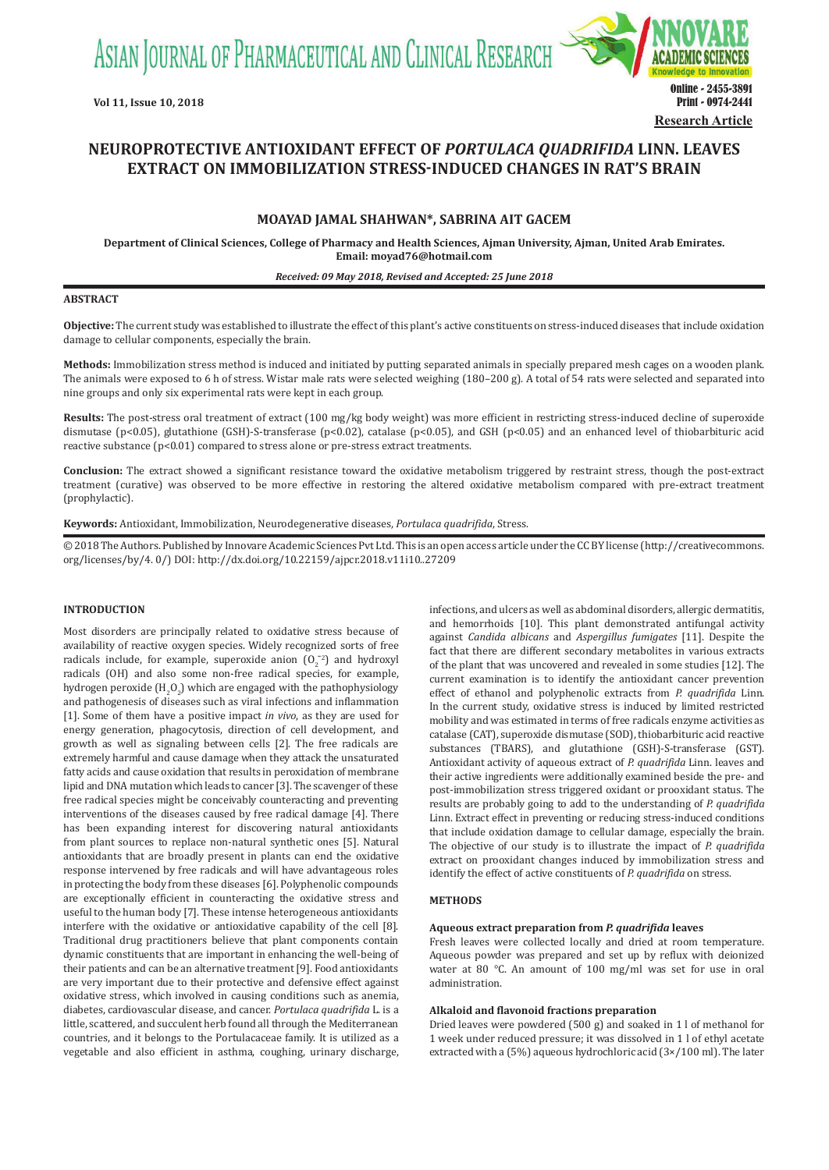ASIAN JOURNAL OF PHARMACEUTICAL AND CLINICAL RESEARCH



# **NEUROPROTECTIVE ANTIOXIDANT EFFECT OF** *PORTULACA QUADRIFIDA* **LINN. LEAVES EXTRACT ON IMMOBILIZATION STRESS-INDUCED CHANGES IN RAT'S BRAIN**

# **MOAYAD JAMAL SHAHWAN\*, SABRINA AIT GACEM**

**Department of Clinical Sciences, College of Pharmacy and Health Sciences, Ajman University, Ajman, United Arab Emirates. Email: moyad76@hotmail.com**

#### *Received: 09 May 2018, Revised and Accepted: 25 June 2018*

### **ABSTRACT**

**Objective:** The current study was established to illustrate the effect of this plant's active constituents on stress-induced diseases that include oxidation damage to cellular components, especially the brain.

**Methods:** Immobilization stress method is induced and initiated by putting separated animals in specially prepared mesh cages on a wooden plank. The animals were exposed to 6 h of stress. Wistar male rats were selected weighing (180–200 g). A total of 54 rats were selected and separated into nine groups and only six experimental rats were kept in each group.

**Results:** The post-stress oral treatment of extract (100 mg/kg body weight) was more efficient in restricting stress-induced decline of superoxide dismutase (p<0.05), glutathione (GSH)-S-transferase (p<0.02), catalase (p<0.05), and GSH (p<0.05) and an enhanced level of thiobarbituric acid reactive substance (p<0.01) compared to stress alone or pre-stress extract treatments.

**Conclusion:** The extract showed a significant resistance toward the oxidative metabolism triggered by restraint stress, though the post-extract treatment (curative) was observed to be more effective in restoring the altered oxidative metabolism compared with pre-extract treatment (prophylactic).

**Keywords:** Antioxidant, Immobilization, Neurodegenerative diseases, *Portulaca quadrifida*, Stress.

© 2018 The Authors. Published by Innovare Academic Sciences Pvt Ltd. This is an open access article under the CC BY license (http://creativecommons. org/licenses/by/4. 0/) DOI: http://dx.doi.org/10.22159/ajpcr.2018.v11i10..27209

# **INTRODUCTION**

Most disorders are principally related to oxidative stress because of availability of reactive oxygen species. Widely recognized sorts of free radicals include, for example, superoxide anion  $(0<sub>2</sub><sup>-2</sup>)$  and hydroxyl radicals (OH) and also some non-free radical species, for example, hydrogen peroxide  $(H_2O_2)$  which are engaged with the pathophysiology and pathogenesis of diseases such as viral infections and inflammation [1]. Some of them have a positive impact *in vivo*, as they are used for energy generation, phagocytosis, direction of cell development, and growth as well as signaling between cells [2]. The free radicals are extremely harmful and cause damage when they attack the unsaturated fatty acids and cause oxidation that results in peroxidation of membrane lipid and DNA mutation which leads to cancer [3]. The scavenger of these free radical species might be conceivably counteracting and preventing interventions of the diseases caused by free radical damage [4]. There has been expanding interest for discovering natural antioxidants from plant sources to replace non-natural synthetic ones [5]. Natural antioxidants that are broadly present in plants can end the oxidative response intervened by free radicals and will have advantageous roles in protecting the body from these diseases [6]. Polyphenolic compounds are exceptionally efficient in counteracting the oxidative stress and useful to the human body [7]. These intense heterogeneous antioxidants interfere with the oxidative or antioxidative capability of the cell [8]. Traditional drug practitioners believe that plant components contain dynamic constituents that are important in enhancing the well-being of their patients and can be an alternative treatment [9]. Food antioxidants are very important due to their protective and defensive effect against oxidative stress, which involved in causing conditions such as anemia, diabetes, cardiovascular disease, and cancer. *Portulaca quadrifida* L. is a little, scattered, and succulent herb found all through the Mediterranean countries, and it belongs to the Portulacaceae family. It is utilized as a vegetable and also efficient in asthma, coughing, urinary discharge,

infections, and ulcers as well as abdominal disorders, allergic dermatitis, and hemorrhoids [10]. This plant demonstrated antifungal activity against *Candida albicans* and *Aspergillus fumigates* [11]. Despite the fact that there are different secondary metabolites in various extracts of the plant that was uncovered and revealed in some studies [12]. The current examination is to identify the antioxidant cancer prevention effect of ethanol and polyphenolic extracts from *P. quadrifida* Linn. In the current study, oxidative stress is induced by limited restricted mobility and was estimated in terms of free radicals enzyme activities as catalase (CAT), superoxide dismutase (SOD), thiobarbituric acid reactive substances (TBARS), and glutathione (GSH)-S-transferase (GST). Antioxidant activity of aqueous extract of *P. quadrifida* Linn. leaves and their active ingredients were additionally examined beside the pre- and post-immobilization stress triggered oxidant or prooxidant status. The results are probably going to add to the understanding of *P. quadrifida* Linn. Extract effect in preventing or reducing stress-induced conditions that include oxidation damage to cellular damage, especially the brain. The objective of our study is to illustrate the impact of *P. quadrifida* extract on prooxidant changes induced by immobilization stress and identify the effect of active constituents of *P. quadrifida* on stress.

#### **METHODS**

# **Aqueous extract preparation from** *P. quadrifida* **leaves**

Fresh leaves were collected locally and dried at room temperature. Aqueous powder was prepared and set up by reflux with deionized water at 80 °C. An amount of 100 mg/ml was set for use in oral administration.

# **Alkaloid and flavonoid fractions preparation**

Dried leaves were powdered (500 g) and soaked in 1 l of methanol for 1 week under reduced pressure; it was dissolved in 1 l of ethyl acetate extracted with a (5%) aqueous hydrochloric acid (3×/100 ml). The later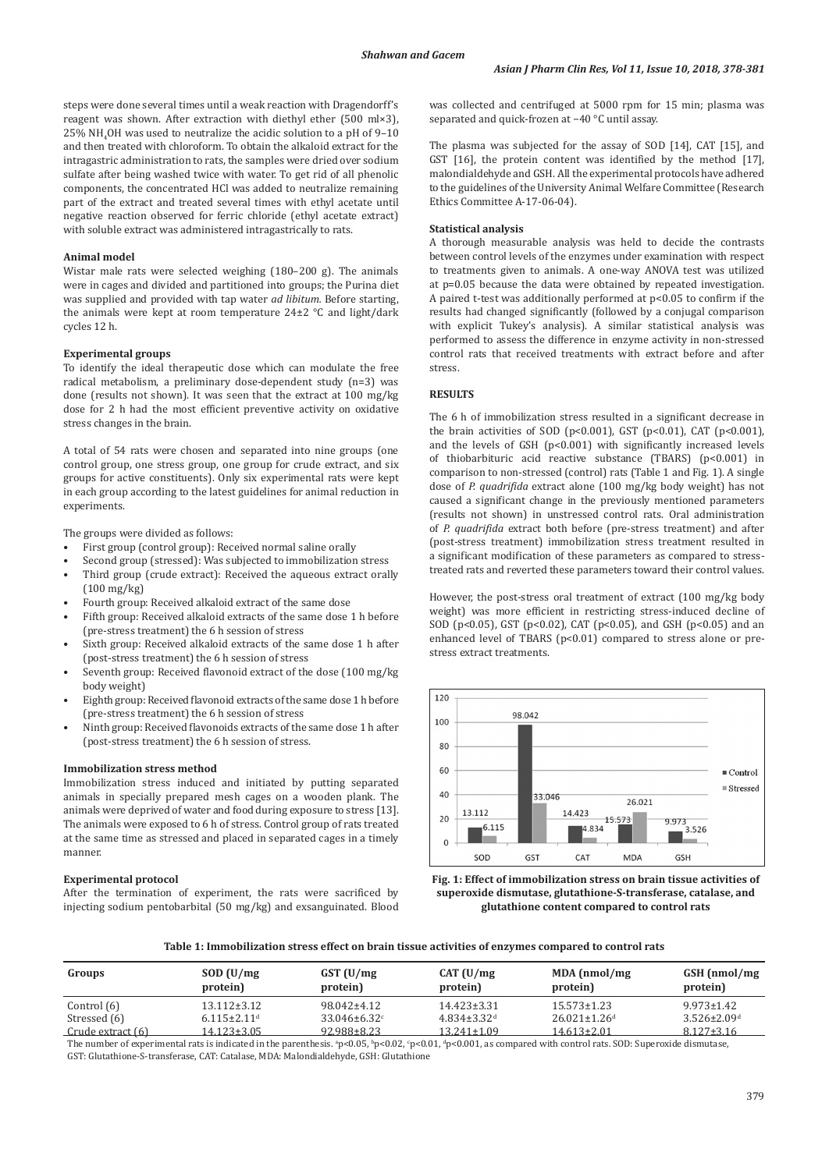steps were done several times until a weak reaction with Dragendorff's reagent was shown. After extraction with diethyl ether (500 ml×3), 25% NH4 OH was used to neutralize the acidic solution to a pH of 9–10 and then treated with chloroform. To obtain the alkaloid extract for the intragastric administration to rats, the samples were dried over sodium sulfate after being washed twice with water. To get rid of all phenolic components, the concentrated HCl was added to neutralize remaining part of the extract and treated several times with ethyl acetate until negative reaction observed for ferric chloride (ethyl acetate extract) with soluble extract was administered intragastrically to rats.

# **Animal model**

Wistar male rats were selected weighing (180–200 g). The animals were in cages and divided and partitioned into groups; the Purina diet was supplied and provided with tap water *ad libitum.* Before starting, the animals were kept at room temperature 24±2 °C and light/dark cycles 12 h.

### **Experimental groups**

To identify the ideal therapeutic dose which can modulate the free radical metabolism, a preliminary dose-dependent study (n=3) was done (results not shown). It was seen that the extract at 100 mg/kg dose for 2 h had the most efficient preventive activity on oxidative stress changes in the brain.

A total of 54 rats were chosen and separated into nine groups (one control group, one stress group, one group for crude extract, and six groups for active constituents). Only six experimental rats were kept in each group according to the latest guidelines for animal reduction in experiments.

The groups were divided as follows:

- First group (control group): Received normal saline orally
- Second group (stressed): Was subjected to immobilization stress
- Third group (crude extract): Received the aqueous extract orally (100 mg/kg)
- Fourth group: Received alkaloid extract of the same dose
- Fifth group: Received alkaloid extracts of the same dose 1 h before (pre-stress treatment) the 6 h session of stress
- Sixth group: Received alkaloid extracts of the same dose 1 h after (post-stress treatment) the 6 h session of stress
- Seventh group: Received flavonoid extract of the dose (100 mg/kg) body weight)
- Eighth group: Received flavonoid extracts of the same dose 1 h before (pre-stress treatment) the 6 h session of stress
- Ninth group: Received flavonoids extracts of the same dose 1 h after (post-stress treatment) the 6 h session of stress.

#### **Immobilization stress method**

Immobilization stress induced and initiated by putting separated animals in specially prepared mesh cages on a wooden plank. The animals were deprived of water and food during exposure to stress [13]. The animals were exposed to 6 h of stress. Control group of rats treated at the same time as stressed and placed in separated cages in a timely manner.

### **Experimental protocol**

After the termination of experiment, the rats were sacrificed by injecting sodium pentobarbital (50 mg/kg) and exsanguinated. Blood was collected and centrifuged at 5000 rpm for 15 min; plasma was separated and quick-frozen at −40 °C until assay.

The plasma was subjected for the assay of SOD [14], CAT [15], and GST [16], the protein content was identified by the method [17], malondialdehyde and GSH. All the experimental protocols have adhered to the guidelines of the University Animal Welfare Committee (Research Ethics Committee A-17-06-04).

#### **Statistical analysis**

A thorough measurable analysis was held to decide the contrasts between control levels of the enzymes under examination with respect to treatments given to animals. A one-way ANOVA test was utilized at p=0.05 because the data were obtained by repeated investigation. A paired t-test was additionally performed at p<0.05 to confirm if the results had changed significantly (followed by a conjugal comparison with explicit Tukey's analysis). A similar statistical analysis was performed to assess the difference in enzyme activity in non-stressed control rats that received treatments with extract before and after stress.

# **RESULTS**

The 6 h of immobilization stress resulted in a significant decrease in the brain activities of SOD (p<0.001), GST (p<0.01), CAT (p<0.001), and the levels of GSH  $(p<0.001)$  with significantly increased levels of thiobarbituric acid reactive substance (TBARS) (p<0.001) in comparison to non-stressed (control) rats (Table 1 and Fig. 1). A single dose of *P. quadrifida* extract alone (100 mg/kg body weight) has not caused a significant change in the previously mentioned parameters (results not shown) in unstressed control rats. Oral administration of *P. quadrifida* extract both before (pre-stress treatment) and after (post-stress treatment) immobilization stress treatment resulted in a significant modification of these parameters as compared to stresstreated rats and reverted these parameters toward their control values.

However, the post-stress oral treatment of extract (100 mg/kg body weight) was more efficient in restricting stress-induced decline of SOD (p<0.05), GST (p<0.02), CAT (p<0.05), and GSH (p<0.05) and an enhanced level of TBARS (p<0.01) compared to stress alone or prestress extract treatments.





**Table 1: Immobilization stress effect on brain tissue activities of enzymes compared to control rats**

| Groups            | SOD (U/mg)<br>protein)        | $GST$ (U/mg)<br>protein) | CAT (U/mg)<br>protein)        | $MDA$ (nmol/mg)<br>protein)    | GSH (nmol/mg)<br>protein)     |
|-------------------|-------------------------------|--------------------------|-------------------------------|--------------------------------|-------------------------------|
| Control (6)       | $13.112 \pm 3.12$             | $98.042 \pm 4.12$        | $14.423 \pm 3.31$             | $15.573 \pm 1.23$              | $9.973 \pm 1.42$              |
| Stressed (6)      | $6.115 \pm 2.11$ <sup>d</sup> | $33.046 \pm 6.32$        | $4.834 \pm 3.32$ <sup>d</sup> | $26.021 \pm 1.26$ <sup>d</sup> | $3.526 \pm 2.09$ <sup>d</sup> |
| Crude extract (6) | 14.123±3.05                   | 92.988±8.23              | $13.241 \pm 1.09$             | $14.613 \pm 2.01$              | $8.127 \pm 3.16$              |

The number of experimental rats is indicated in the parenthesis.  $^{\circ}$ p<0.05,  $^{\circ}$ p<0.02,  $^{\circ}$ p<0.01,  $^{\circ}$ p<0.001, as compared with control rats. SOD: Superoxide dismutase, GST: Glutathione-S-transferase, CAT: Catalase, MDA: Malondialdehyde, GSH: Glutathione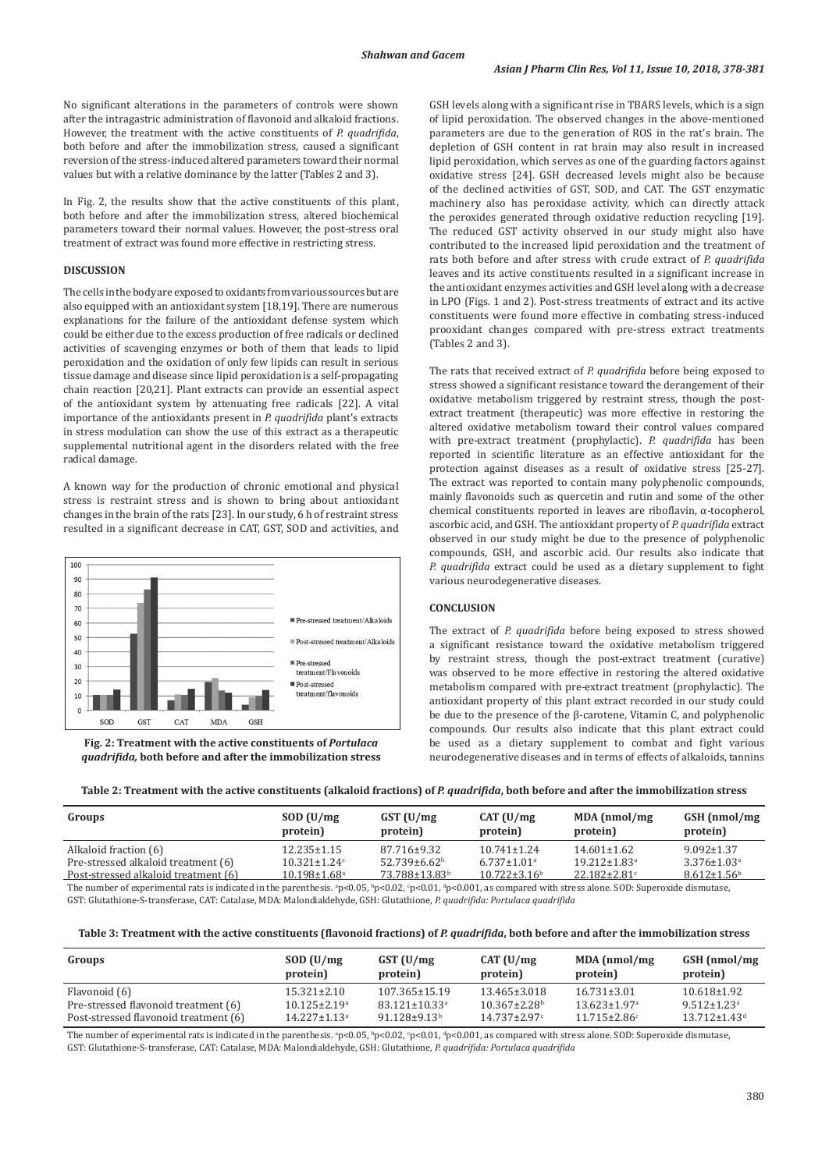No significant alterations in the parameters of controls were shown after the intragastric administration of flavonoid and alkaloid fractions. However, the treatment with the active constituents of *P. quadrifida*, both before and after the immobilization stress, caused a significant reversion of the stress-induced altered parameters toward their normal values but with a relative dominance by the latter (Tables 2 and 3).

In Fig. 2, the results show that the active constituents of this plant, both before and after the immobilization stress, altered biochemical parameters toward their normal values. However, the post-stress oral treatment of extract was found more effective in restricting stress.

# **DISCUSSION**

The cells in the body are exposed to oxidants from various sources but are also equipped with an antioxidant system [18,19]. There are numerous explanations for the failure of the antioxidant defense system which could be either due to the excess production of free radicals or declined activities of scavenging enzymes or both of them that leads to lipid peroxidation and the oxidation of only few lipids can result in serious tissue damage and disease since lipid peroxidation is a self-propagating chain reaction [20,21]. Plant extracts can provide an essential aspect of the antioxidant system by attenuating free radicals [22]. A vital importance of the antioxidants present in *P. quadrifida* plant's extracts in stress modulation can show the use of this extract as a therapeutic supplemental nutritional agent in the disorders related with the free radical damage.

A known way for the production of chronic emotional and physical stress is restraint stress and is shown to bring about antioxidant changes in the brain of the rats [23]. In our study, 6 h of restraint stress resulted in a significant decrease in CAT, GST, SOD and activities, and





GSH levels along with a significant rise in TBARS levels, which is a sign of lipid peroxidation. The observed changes in the above-mentioned parameters are due to the generation of ROS in the rat's brain. The depletion of GSH content in rat brain may also result in increased lipid peroxidation, which serves as one of the guarding factors against oxidative stress [24]. GSH decreased levels might also be because of the declined activities of GST, SOD, and CAT. The GST enzymatic machinery also has peroxidase activity, which can directly attack the peroxides generated through oxidative reduction recycling [19]. The reduced GST activity observed in our study might also have contributed to the increased lipid peroxidation and the treatment of rats both before and after stress with crude extract of *P. quadrifida*  leaves and its active constituents resulted in a significant increase in the antioxidant enzymes activities and GSH level along with a decrease in LPO (Figs. 1 and 2). Post-stress treatments of extract and its active constituents were found more effective in combating stress-induced prooxidant changes compared with pre-stress extract treatments (Tables 2 and 3).

The rats that received extract of *P. quadrifida* before being exposed to stress showed a significant resistance toward the derangement of their oxidative metabolism triggered by restraint stress, though the postextract treatment (therapeutic) was more effective in restoring the altered oxidative metabolism toward their control values compared with pre-extract treatment (prophylactic). *P. quadrifida* has been reported in scientific literature as an effective antioxidant for the protection against diseases as a result of oxidative stress [25-27]. The extract was reported to contain many polyphenolic compounds, mainly flavonoids such as quercetin and rutin and some of the other chemical constituents reported in leaves are riboflavin, α-tocopherol, ascorbic acid, and GSH. The antioxidant property of *P. quadrifida* extract observed in our study might be due to the presence of polyphenolic compounds, GSH, and ascorbic acid. Our results also indicate that *P. quadrifida* extract could be used as a dietary supplement to fight various neurodegenerative diseases.

### **CONCLUSION**

The extract of *P. quadrifida* before being exposed to stress showed a significant resistance toward the oxidative metabolism triggered by restraint stress, though the post-extract treatment (curative) was observed to be more effective in restoring the altered oxidative metabolism compared with pre-extract treatment (prophylactic). The antioxidant property of this plant extract recorded in our study could be due to the presence of the β-carotene, Vitamin C, and polyphenolic compounds. Our results also indicate that this plant extract could be used as a dietary supplement to combat and fight various neurodegenerative diseases and in terms of effects of alkaloids, tannins

| Groups                                                                                                                                                                                             | SOD (U/mg)<br>protein)         | $GST$ (U/mg)<br>protein)  | CAT (U/mg)<br>protein)        | $MDA$ (nmol/mg)<br>protein)    | GSH (nmol/mg)<br>protein)     |  |
|----------------------------------------------------------------------------------------------------------------------------------------------------------------------------------------------------|--------------------------------|---------------------------|-------------------------------|--------------------------------|-------------------------------|--|
| Alkaloid fraction (6)                                                                                                                                                                              | $12.235 \pm 1.15$              | 87.716±9.32               | $10.741 \pm 1.24$             | $14.601 \pm 1.62$              | $9.092 \pm 1.37$              |  |
| Pre-stressed alkaloid treatment (6)                                                                                                                                                                | $10.321 \pm 1.24$ <sup>c</sup> | $52.739 \pm 6.62^b$       | $6.737 \pm 1.01$ <sup>a</sup> | $19.212 \pm 1.83$ <sup>a</sup> | $3.376 \pm 1.03$ <sup>a</sup> |  |
| Post-stressed alkaloid treatment (6)                                                                                                                                                               | $10.198 \pm 1.68$ <sup>a</sup> | 73.788+13.83 <sup>b</sup> | $10.722 \pm 3.16^{\circ}$     | $22.182 + 2.81$                | $8.612 \pm 1.56$ <sup>b</sup> |  |
| The number of evperimental rate is indicated in the parenthesis $\frac{3}{2}$ and $0.5$ $\frac{1}{2}$ and $0.01$ $\frac{1}{2}$ and $0.01$ as compared with stress alone. SOD: Superovide dismutase |                                |                           |                               |                                |                               |  |

The number of experimental rats is indicated in the parenthesis.  $^{\circ}$ p<0.05,  $^{\circ}$ p<0.02,  $^{\circ}$ p<0.01,  $^{\circ}$ alone. SOD: Superoxide dismu GST: Glutathione-S-transferase, CAT: Catalase, MDA: Malondialdehyde, GSH: Glutathione, *P. quadrifida: Portulaca quadrifida*

|  | Table 3: Treatment with the active constituents (flavonoid fractions) of P. quadrifida, both before and after the immobilization stress |
|--|-----------------------------------------------------------------------------------------------------------------------------------------|
|  |                                                                                                                                         |

| Groups                                | SOD (U/mg)<br>protein)         | $GST$ (U/mg)<br>protein)        | CAT (U/mg)<br>protein)         | MDA (nmol/mg)<br>protein)      | GSH (nmol/mg)<br>protein)      |
|---------------------------------------|--------------------------------|---------------------------------|--------------------------------|--------------------------------|--------------------------------|
| Flavonoid (6)                         | $15.321 \pm 2.10$              | $107.365 \pm 15.19$             | 13.465±3.018                   | $16.731 \pm 3.01$              | $10.618 \pm 1.92$              |
| Pre-stressed flavonoid treatment (6)  | $10.125 \pm 2.19$ <sup>a</sup> | $83.121 \pm 10.33$ <sup>a</sup> | $10.367 \pm 2.28$ <sup>b</sup> | $13.623 \pm 1.97$ <sup>a</sup> | $9.512 \pm 1.23$ <sup>a</sup>  |
| Post-stressed flavonoid treatment (6) | $14.227 \pm 1.13$ <sup>a</sup> | $91.128 \pm 9.13$ <sup>b</sup>  | $14.737 \pm 2.97$ <sup>c</sup> | $11.715 \pm 2.86$ <sup>c</sup> | $13.712 \pm 1.43$ <sup>d</sup> |

The number of experimental rats is indicated in the parenthesis.  $p<0.05$ ,  $p<0.02$ ,  $p<0.01$ ,  $p<0.001$ , as compared with stress alone. SOD: Superoxide dismutase, GST: Glutathione-S-transferase, CAT: Catalase, MDA: Malondialdehyde, GSH: Glutathione, *P. quadrifida: Portulaca quadrifida*